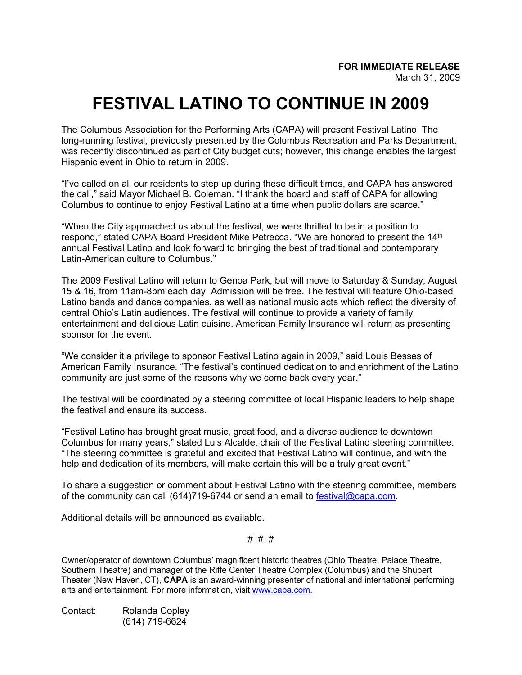## **FESTIVAL LATINO TO CONTINUE IN 2009**

The Columbus Association for the Performing Arts (CAPA) will present Festival Latino. The long-running festival, previously presented by the Columbus Recreation and Parks Department, was recently discontinued as part of City budget cuts; however, this change enables the largest Hispanic event in Ohio to return in 2009.

"I've called on all our residents to step up during these difficult times, and CAPA has answered the call," said Mayor Michael B. Coleman. "I thank the board and staff of CAPA for allowing Columbus to continue to enjoy Festival Latino at a time when public dollars are scarce."

"When the City approached us about the festival, we were thrilled to be in a position to respond," stated CAPA Board President Mike Petrecca. "We are honored to present the 14<sup>th</sup> annual Festival Latino and look forward to bringing the best of traditional and contemporary Latin-American culture to Columbus."

The 2009 Festival Latino will return to Genoa Park, but will move to Saturday & Sunday, August 15 & 16, from 11am-8pm each day. Admission will be free. The festival will feature Ohio-based Latino bands and dance companies, as well as national music acts which reflect the diversity of central Ohio's Latin audiences. The festival will continue to provide a variety of family entertainment and delicious Latin cuisine. American Family Insurance will return as presenting sponsor for the event.

"We consider it a privilege to sponsor Festival Latino again in 2009," said Louis Besses of American Family Insurance. "The festival's continued dedication to and enrichment of the Latino community are just some of the reasons why we come back every year."

The festival will be coordinated by a steering committee of local Hispanic leaders to help shape the festival and ensure its success.

"Festival Latino has brought great music, great food, and a diverse audience to downtown Columbus for many years," stated Luis Alcalde, chair of the Festival Latino steering committee. "The steering committee is grateful and excited that Festival Latino will continue, and with the help and dedication of its members, will make certain this will be a truly great event."

To share a suggestion or comment about Festival Latino with the steering committee, members of the community can call (614)719-6744 or send an email to [festival@capa.com.](mailto:festival@capa.com)

Additional details will be announced as available.

# # #

Owner/operator of downtown Columbus' magnificent historic theatres (Ohio Theatre, Palace Theatre, Southern Theatre) and manager of the Riffe Center Theatre Complex (Columbus) and the Shubert Theater (New Haven, CT), **CAPA** is an award-winning presenter of national and international performing arts and entertainment. For more information, visit [www.capa.com.](http://www.capa.com/)

Contact: Rolanda Copley (614) 719-6624